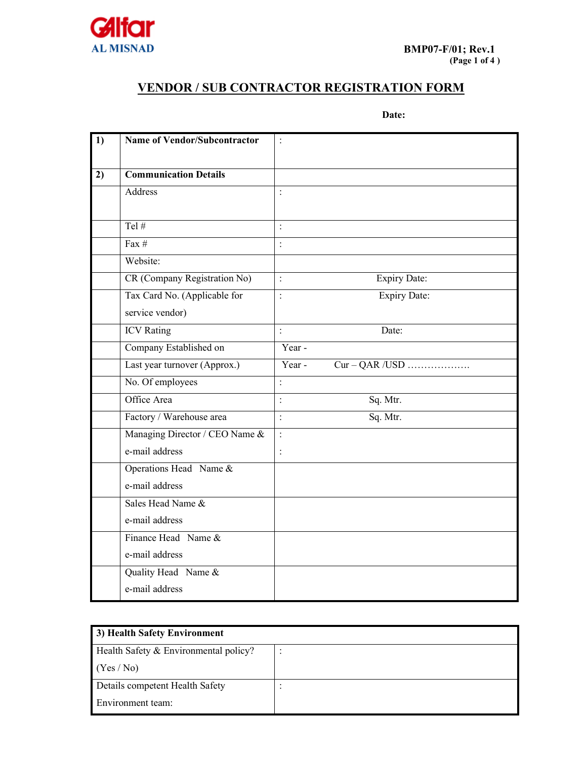

## **VENDOR / SUB CONTRACTOR REGISTRATION FORM**

 **Date:** 

| 1) | <b>Name of Vendor/Subcontractor</b> | $\vdots$                              |
|----|-------------------------------------|---------------------------------------|
|    |                                     |                                       |
| 2) | <b>Communication Details</b>        |                                       |
|    | Address                             | $\vdots$                              |
|    |                                     |                                       |
|    | Tel $#$                             | $\ddot{\cdot}$                        |
|    | Fax $#$                             | $\cdot$                               |
|    | Website:                            |                                       |
|    | CR (Company Registration No)        | $\vdots$<br><b>Expiry Date:</b>       |
|    | Tax Card No. (Applicable for        | <b>Expiry Date:</b><br>$\ddot{\cdot}$ |
|    | service vendor)                     |                                       |
|    | <b>ICV</b> Rating                   | $\ddot{\cdot}$<br>Date:               |
|    | Company Established on              | Year -                                |
|    | Last year turnover (Approx.)        | Year -<br>$Cur - QAR / USD$           |
|    | No. Of employees                    | $\ddot{\cdot}$                        |
|    | Office Area                         | Sq. Mtr.<br>$\vdots$                  |
|    | Factory / Warehouse area            | Sq. Mtr.<br>$\cdot$                   |
|    | Managing Director / CEO Name &      | $\vdots$                              |
|    | e-mail address                      | $\vdots$                              |
|    | Operations Head Name &              |                                       |
|    | e-mail address                      |                                       |
|    | Sales Head Name &                   |                                       |
|    | e-mail address                      |                                       |
|    | Finance Head Name &                 |                                       |
|    | e-mail address                      |                                       |
|    | Quality Head Name &                 |                                       |
|    | e-mail address                      |                                       |

| 3) Health Safety Environment          |  |  |  |
|---------------------------------------|--|--|--|
| Health Safety & Environmental policy? |  |  |  |
| (Yes/No)                              |  |  |  |
| Details competent Health Safety       |  |  |  |
| Environment team:                     |  |  |  |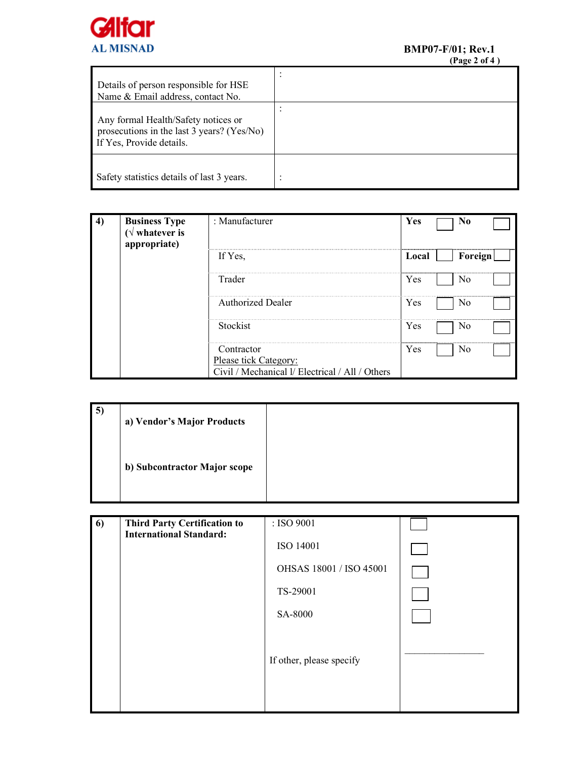

| Details of person responsible for HSE<br>Name & Email address, contact No.                                    | $\cdot$ |
|---------------------------------------------------------------------------------------------------------------|---------|
| Any formal Health/Safety notices or<br>prosecutions in the last 3 years? (Yes/No)<br>If Yes, Provide details. |         |
| Safety statistics details of last 3 years.                                                                    |         |

| 4) | <b>Business Type</b><br>( $\sqrt{\ }$ whatever is<br>appropriate) | : Manufacturer                                                           | Yes   | N <sub>0</sub> |                   |
|----|-------------------------------------------------------------------|--------------------------------------------------------------------------|-------|----------------|-------------------|
|    |                                                                   | If Yes,                                                                  | Local | Foreign        |                   |
|    |                                                                   | Trader                                                                   | Yes   | No<br>         |                   |
|    |                                                                   | <b>Authorized Dealer</b>                                                 | Yes   | No             |                   |
|    |                                                                   | Stockist                                                                 | Yes   | No             | ----------------- |
|    |                                                                   | Contractor                                                               | Yes   | No             |                   |
|    |                                                                   | Please tick Category:<br>Civil / Mechanical 1/ Electrical / All / Others |       |                |                   |

| $\vert 5 \rangle$ | a) Vendor's Major Products   |  |
|-------------------|------------------------------|--|
|                   | b) Subcontractor Major scope |  |

| 6) | <b>Third Party Certification to</b><br><b>International Standard:</b> | : ISO 9001               |  |
|----|-----------------------------------------------------------------------|--------------------------|--|
|    |                                                                       | ISO 14001                |  |
|    |                                                                       | OHSAS 18001 / ISO 45001  |  |
|    |                                                                       | TS-29001                 |  |
|    |                                                                       | SA-8000                  |  |
|    |                                                                       | If other, please specify |  |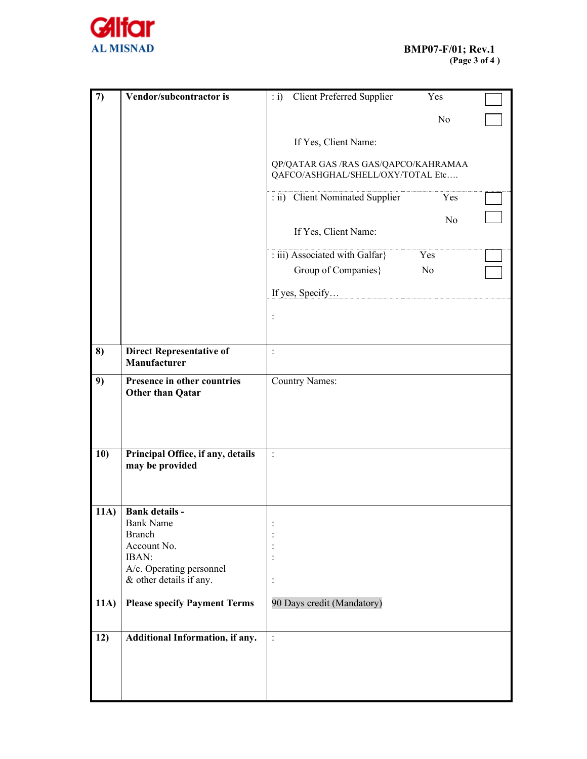

| $\boldsymbol{\tau}$ | Vendor/subcontractor is                                | : i) Client Preferred Supplier                                            | Yes            |  |  |
|---------------------|--------------------------------------------------------|---------------------------------------------------------------------------|----------------|--|--|
|                     |                                                        |                                                                           | N <sub>o</sub> |  |  |
|                     |                                                        | If Yes, Client Name:                                                      |                |  |  |
|                     |                                                        |                                                                           |                |  |  |
|                     |                                                        | QP/QATAR GAS /RAS GAS/QAPCO/KAHRAMAA<br>QAFCO/ASHGHAL/SHELL/OXY/TOTAL Etc |                |  |  |
|                     |                                                        | : ii) Client Nominated Supplier                                           | Yes            |  |  |
|                     |                                                        |                                                                           | N <sub>o</sub> |  |  |
|                     |                                                        | If Yes, Client Name:                                                      |                |  |  |
|                     |                                                        | : iii) Associated with Galfar}                                            | Yes            |  |  |
|                     |                                                        | Group of Companies}                                                       | N <sub>o</sub> |  |  |
|                     |                                                        | If yes, Specify                                                           |                |  |  |
|                     |                                                        | $\colon$                                                                  |                |  |  |
|                     |                                                        |                                                                           |                |  |  |
| 8)                  | <b>Direct Representative of</b>                        | $\mathbf{r}$                                                              |                |  |  |
|                     | Manufacturer                                           |                                                                           |                |  |  |
| 9)                  | Presence in other countries<br><b>Other than Qatar</b> | <b>Country Names:</b>                                                     |                |  |  |
|                     |                                                        |                                                                           |                |  |  |
|                     |                                                        |                                                                           |                |  |  |
|                     |                                                        |                                                                           |                |  |  |
| 10)                 | Principal Office, if any, details<br>may be provided   | $\ddot{\cdot}$                                                            |                |  |  |
|                     |                                                        |                                                                           |                |  |  |
|                     |                                                        |                                                                           |                |  |  |
| 11A)                | <b>Bank details -</b>                                  |                                                                           |                |  |  |
|                     | <b>Bank Name</b><br><b>Branch</b>                      |                                                                           |                |  |  |
|                     | Account No.                                            |                                                                           |                |  |  |
|                     | IBAN:                                                  | $\vdots$                                                                  |                |  |  |
|                     | A/c. Operating personnel<br>& other details if any.    | $\vdots$                                                                  |                |  |  |
| 11A)                | <b>Please specify Payment Terms</b>                    | 90 Days credit (Mandatory)                                                |                |  |  |
|                     |                                                        |                                                                           |                |  |  |
| 12)                 | Additional Information, if any.                        | $\cdot$                                                                   |                |  |  |
|                     |                                                        |                                                                           |                |  |  |
|                     |                                                        |                                                                           |                |  |  |
|                     |                                                        |                                                                           |                |  |  |
|                     |                                                        |                                                                           |                |  |  |